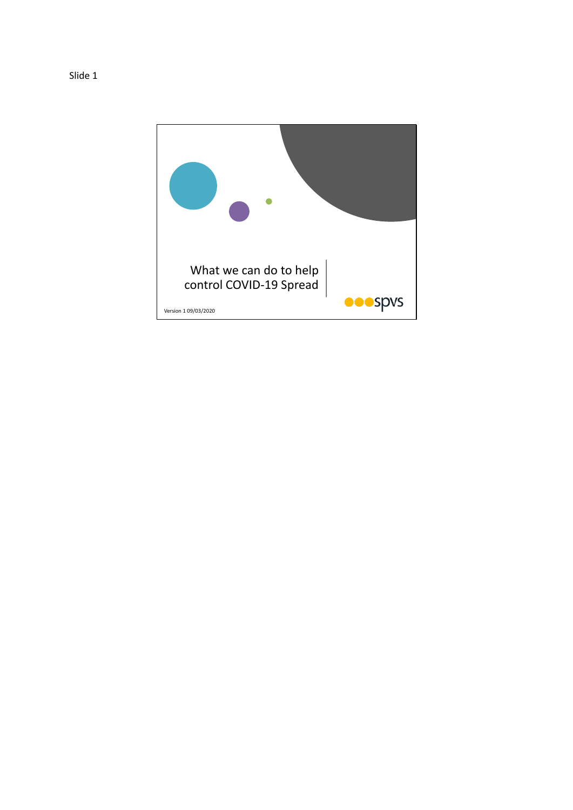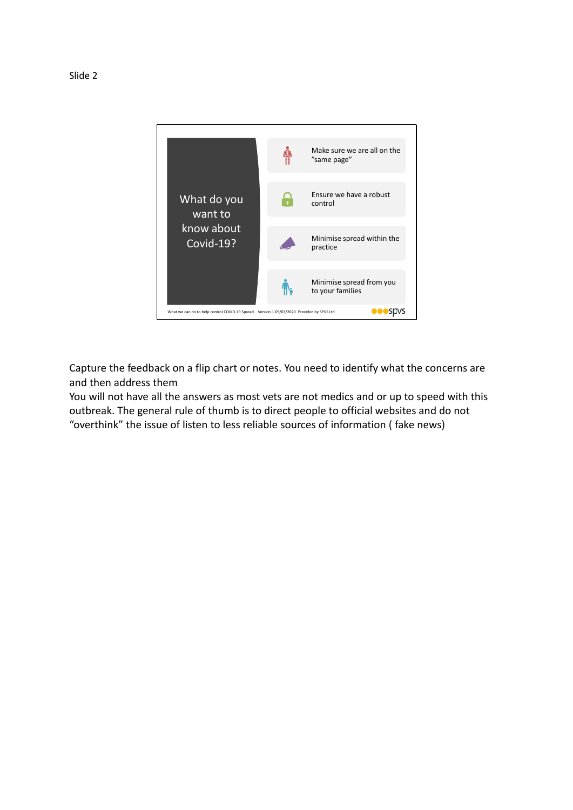

Capture the feedback on a flip chart or notes. You need to identify what the concerns are and then address them

You will not have all the answers as most vets are not medics and or up to speed with this outbreak. The general rule of thumb is to direct people to official websites and do not "overthink" the issue of listen to less reliable sources of information ( fake news)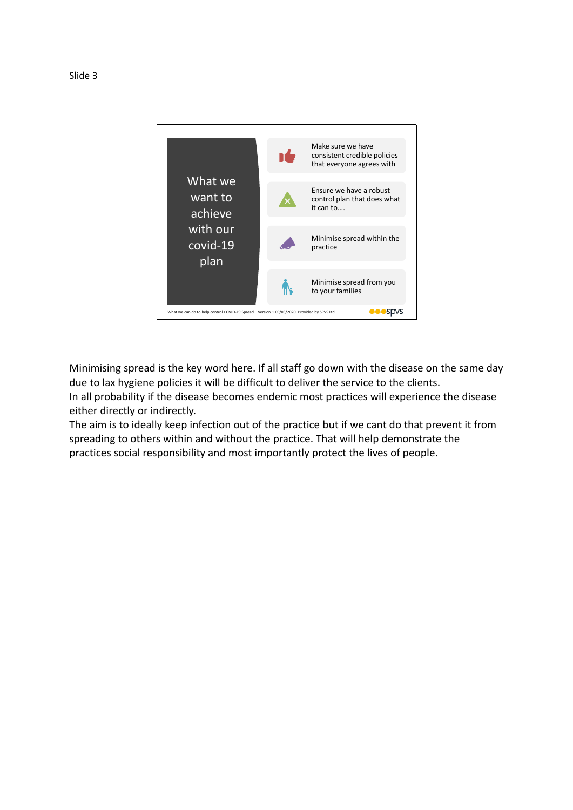

Minimising spread is the key word here. If all staff go down with the disease on the same day due to lax hygiene policies it will be difficult to deliver the service to the clients.

In all probability if the disease becomes endemic most practices will experience the disease either directly or indirectly.

The aim is to ideally keep infection out of the practice but if we cant do that prevent it from spreading to others within and without the practice. That will help demonstrate the practices social responsibility and most importantly protect the lives of people.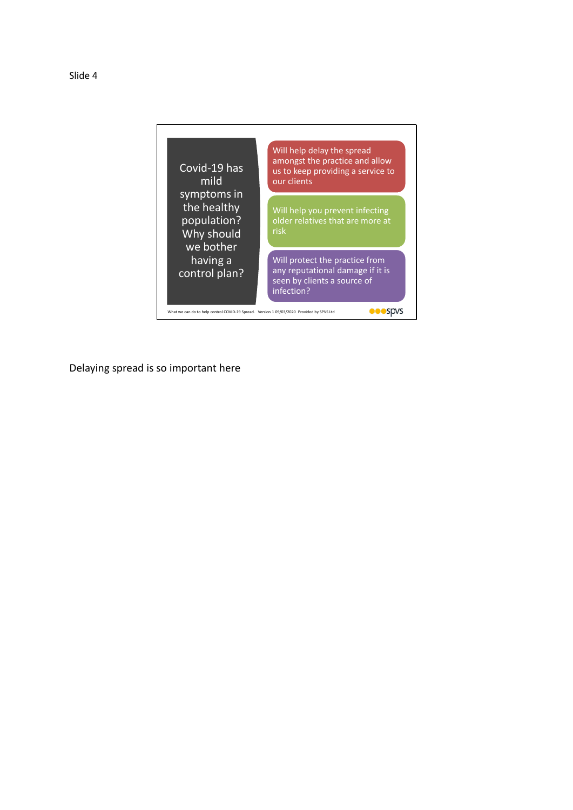Slide 4



Delaying spread is so important here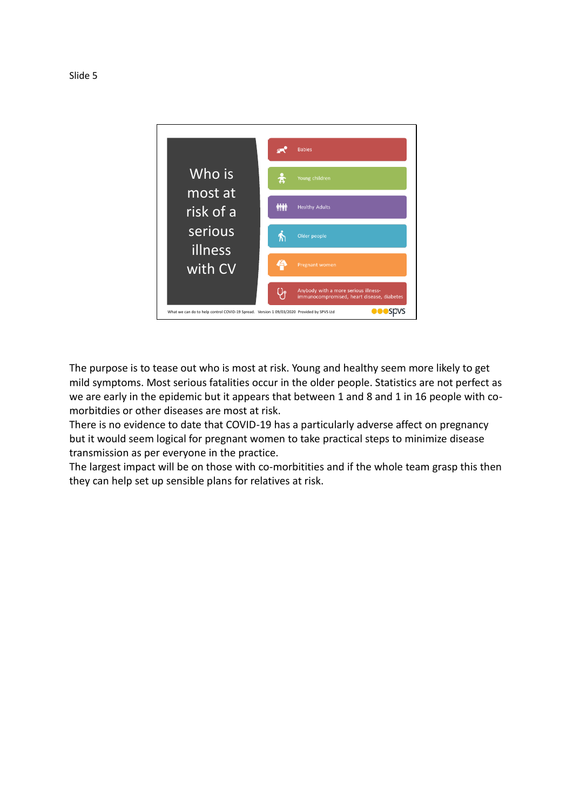

The purpose is to tease out who is most at risk. Young and healthy seem more likely to get mild symptoms. Most serious fatalities occur in the older people. Statistics are not perfect as we are early in the epidemic but it appears that between 1 and 8 and 1 in 16 people with comorbitdies or other diseases are most at risk.

There is no evidence to date that COVID-19 has a particularly adverse affect on pregnancy but it would seem logical for pregnant women to take practical steps to minimize disease transmission as per everyone in the practice.

The largest impact will be on those with co-morbitities and if the whole team grasp this then they can help set up sensible plans for relatives at risk.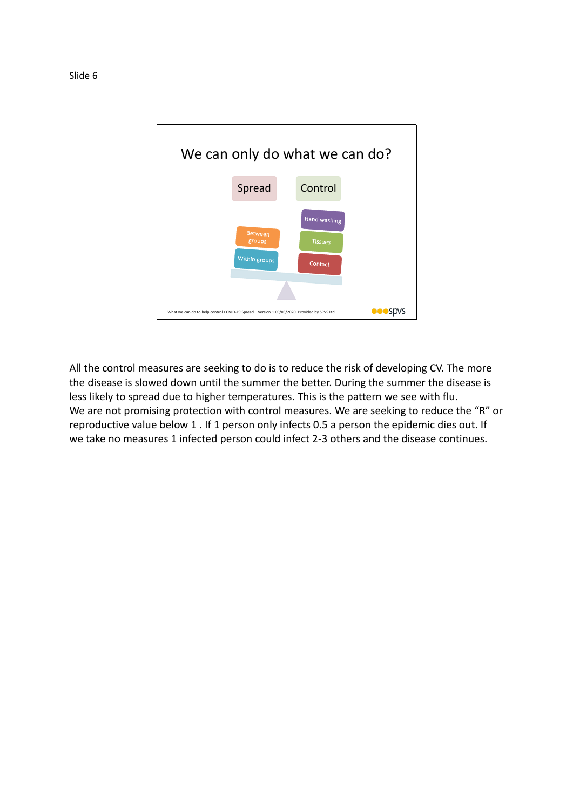

All the control measures are seeking to do is to reduce the risk of developing CV. The more the disease is slowed down until the summer the better. During the summer the disease is less likely to spread due to higher temperatures. This is the pattern we see with flu. We are not promising protection with control measures. We are seeking to reduce the "R" or reproductive value below 1 . If 1 person only infects 0.5 a person the epidemic dies out. If we take no measures 1 infected person could infect 2-3 others and the disease continues.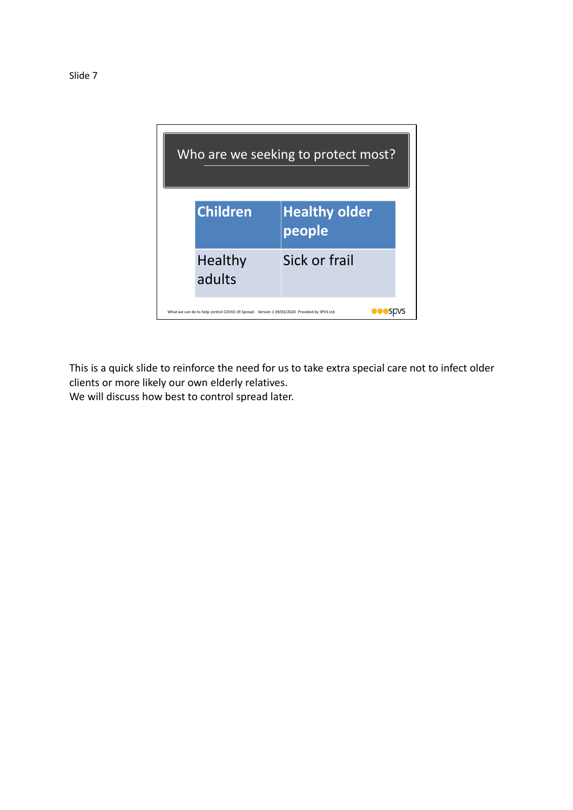

This is a quick slide to reinforce the need for us to take extra special care not to infect older clients or more likely our own elderly relatives.

We will discuss how best to control spread later.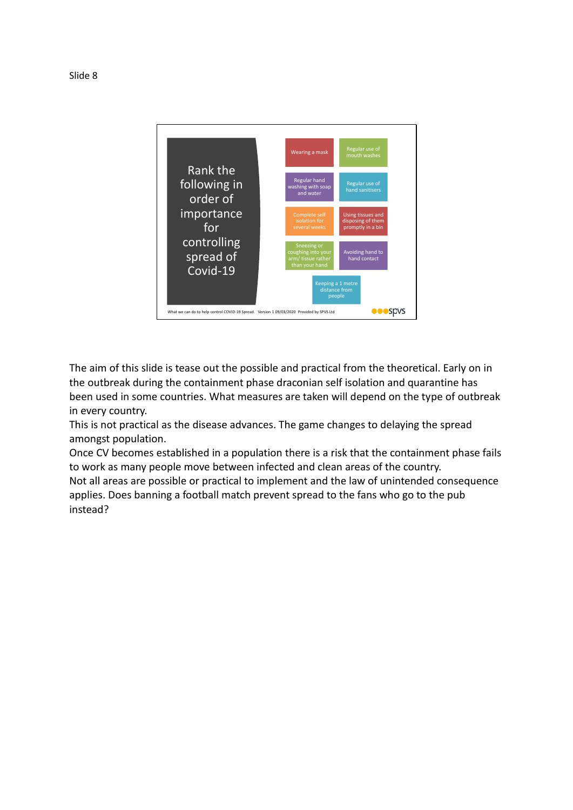

The aim of this slide is tease out the possible and practical from the theoretical. Early on in the outbreak during the containment phase draconian self isolation and quarantine has been used in some countries. What measures are taken will depend on the type of outbreak in every country.

This is not practical as the disease advances. The game changes to delaying the spread amongst population.

Once CV becomes established in a population there is a risk that the containment phase fails to work as many people move between infected and clean areas of the country. Not all areas are possible or practical to implement and the law of unintended consequence applies. Does banning a football match prevent spread to the fans who go to the pub instead?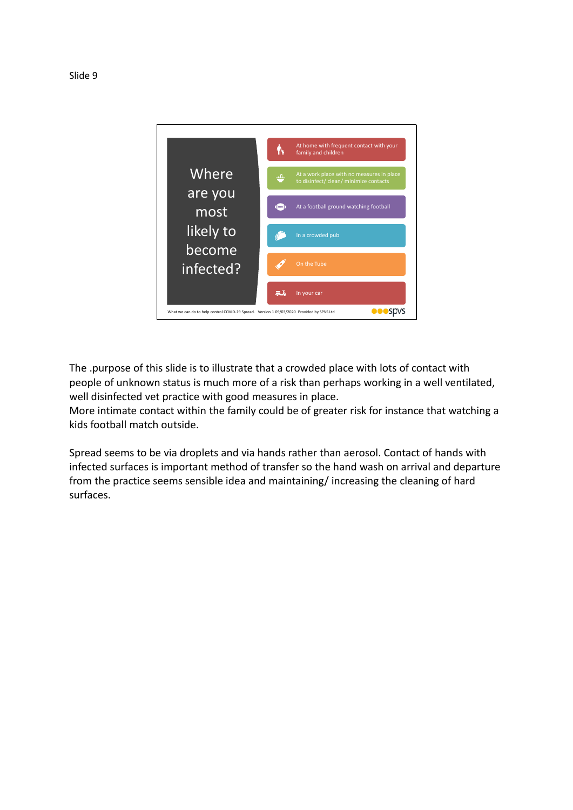

The .purpose of this slide is to illustrate that a crowded place with lots of contact with people of unknown status is much more of a risk than perhaps working in a well ventilated, well disinfected vet practice with good measures in place.

More intimate contact within the family could be of greater risk for instance that watching a kids football match outside.

Spread seems to be via droplets and via hands rather than aerosol. Contact of hands with infected surfaces is important method of transfer so the hand wash on arrival and departure from the practice seems sensible idea and maintaining/ increasing the cleaning of hard surfaces.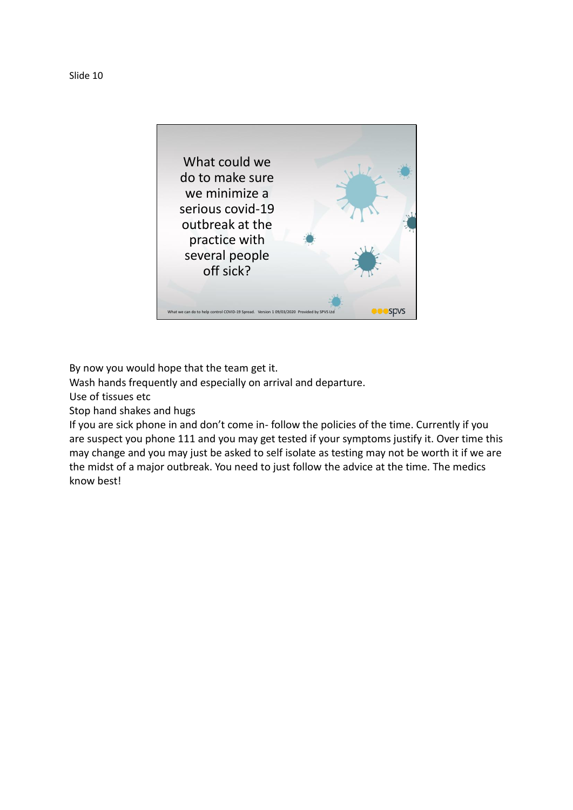



By now you would hope that the team get it.

Wash hands frequently and especially on arrival and departure.

Use of tissues etc

Stop hand shakes and hugs

If you are sick phone in and don't come in- follow the policies of the time. Currently if you are suspect you phone 111 and you may get tested if your symptoms justify it. Over time this may change and you may just be asked to self isolate as testing may not be worth it if we are the midst of a major outbreak. You need to just follow the advice at the time. The medics know best!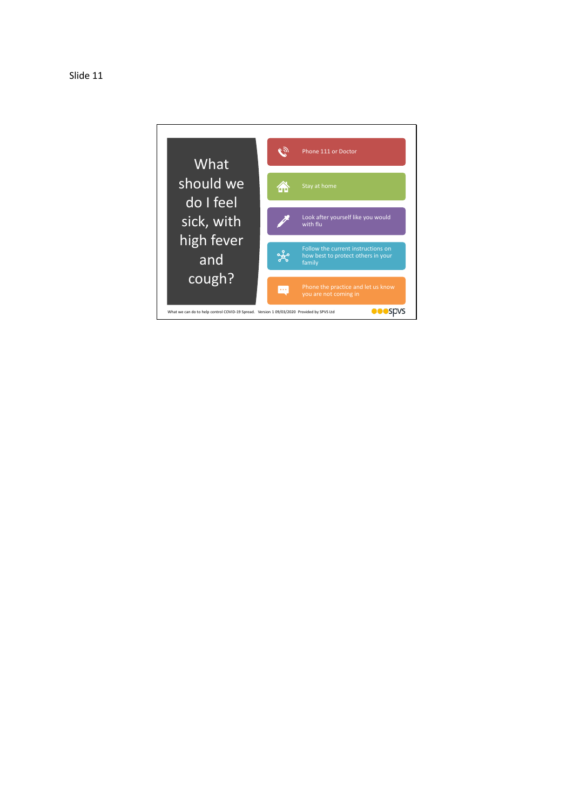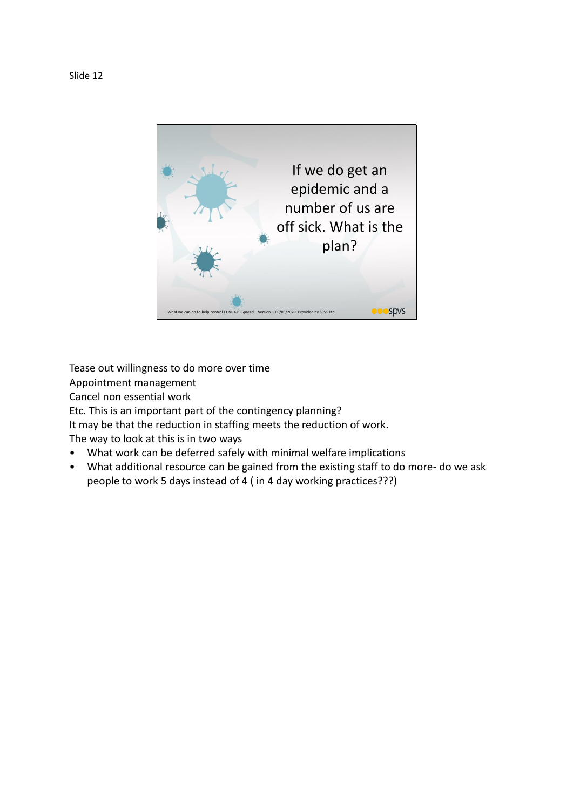

Tease out willingness to do more over time Appointment management Cancel non essential work Etc. This is an important part of the contingency planning? It may be that the reduction in staffing meets the reduction of work. The way to look at this is in two ways

- What work can be deferred safely with minimal welfare implications
- What additional resource can be gained from the existing staff to do more- do we ask people to work 5 days instead of 4 ( in 4 day working practices???)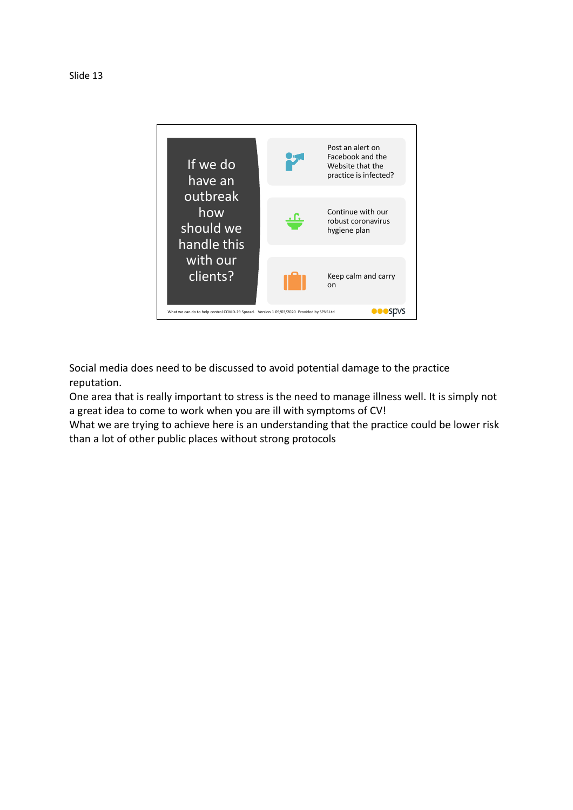



Social media does need to be discussed to avoid potential damage to the practice reputation.

One area that is really important to stress is the need to manage illness well. It is simply not a great idea to come to work when you are ill with symptoms of CV!

What we are trying to achieve here is an understanding that the practice could be lower risk than a lot of other public places without strong protocols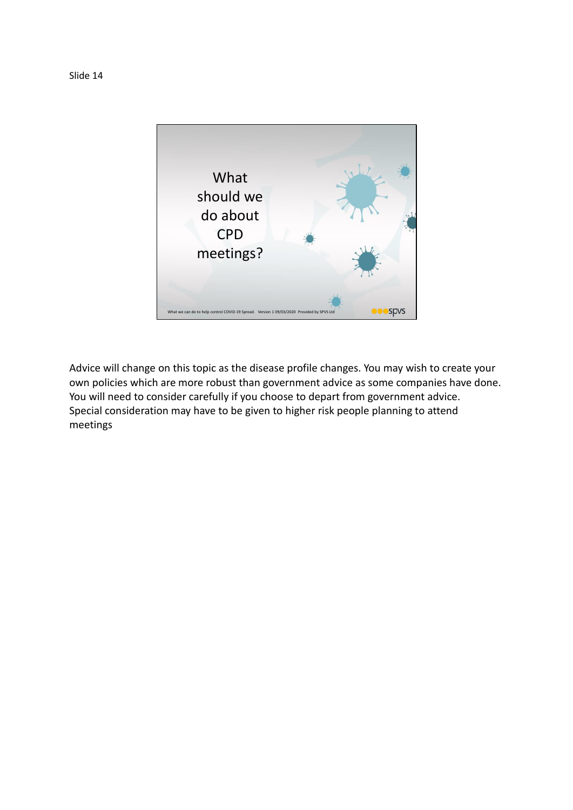

Advice will change on this topic as the disease profile changes. You may wish to create your own policies which are more robust than government advice as some companies have done. You will need to consider carefully if you choose to depart from government advice. Special consideration may have to be given to higher risk people planning to attend meetings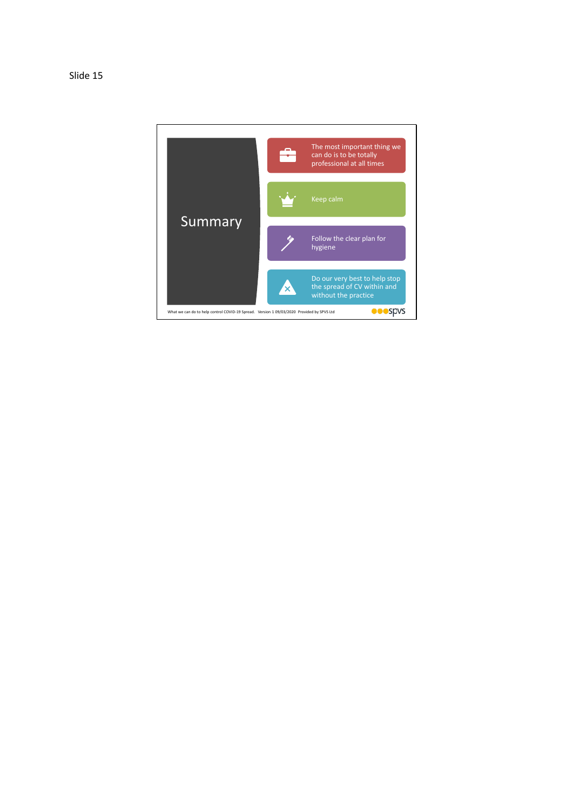